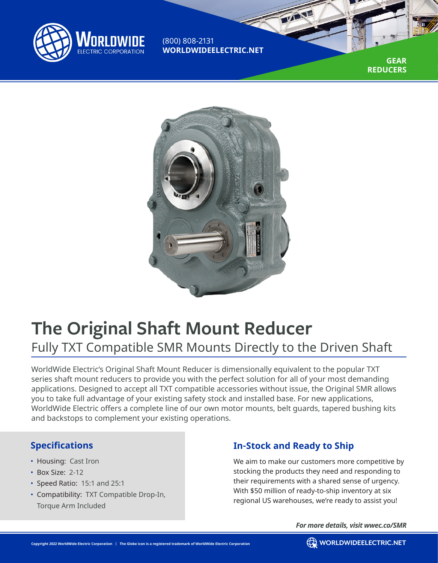

(800) 808-2131 **WORLDWIDEELECTRIC.NET**

> **GEAR REDUCERS**



# **The Original Shaft Mount Reducer** Fully TXT Compatible SMR Mounts Directly to the Driven Shaft

WorldWide Electric's Original Shaft Mount Reducer is dimensionally equivalent to the popular TXT series shaft mount reducers to provide you with the perfect solution for all of your most demanding applications. Designed to accept all TXT compatible accessories without issue, the Original SMR allows you to take full advantage of your existing safety stock and installed base. For new applications, WorldWide Electric offers a complete line of our own motor mounts, belt guards, tapered bushing kits and backstops to complement your existing operations.

## **Specifications**

- Housing: Cast Iron
- Box Size: 2-12
- Speed Ratio: 15:1 and 25:1
- Compatibility: TXT Compatible Drop-In, Torque Arm Included

# **In-Stock and Ready to Ship**

We aim to make our customers more competitive by stocking the products they need and responding to their requirements with a shared sense of urgency. With \$50 million of ready-to-ship inventory at six regional US warehouses, we're ready to assist you!

*For more details, visit wwec.co/SMR*